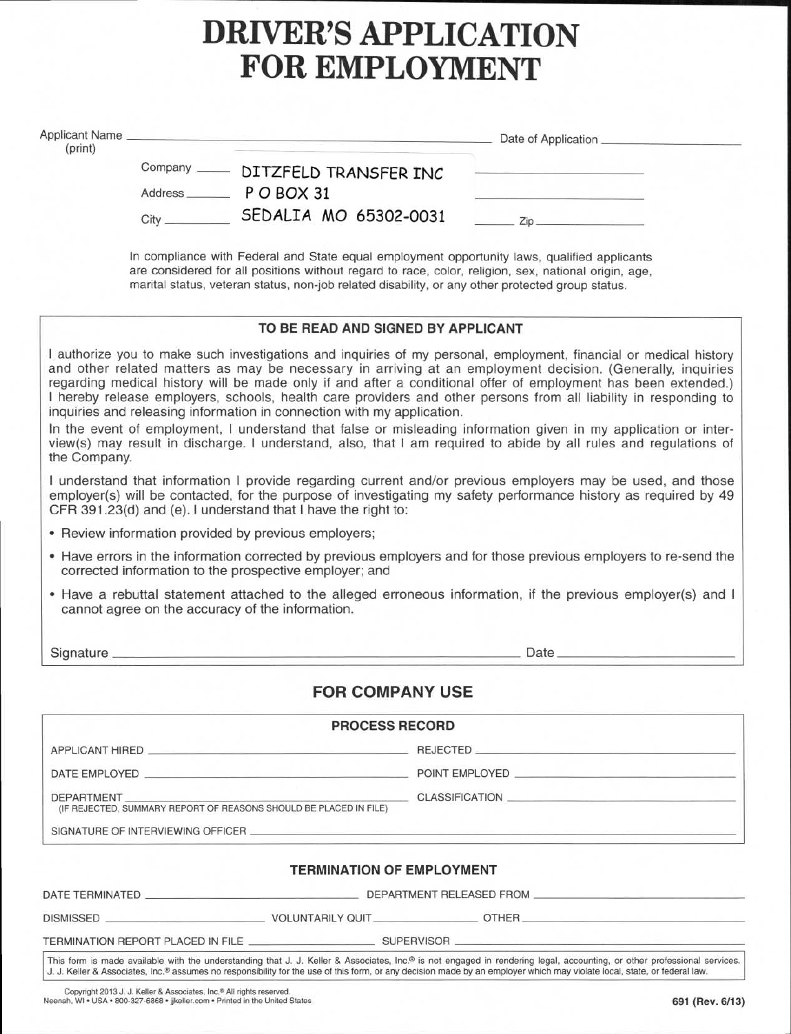# **DRIVER'S APPLICATION FOR EMPLOYMENT**

| Applicant Name<br>(print) |                |                       | Date of Application. |
|---------------------------|----------------|-----------------------|----------------------|
|                           | Company _      | DITZFELD TRANSFER INC |                      |
|                           | <b>Address</b> | P O BOX 31            |                      |
|                           | City           | SEDALIA MO 65302-0031 | Zip                  |

In compliance with Federal and State equal employment opportunity laws, qualified applicants are considered for all positions without regard to race, color, religion, sex, national origin, age, marital status, veteran status, non-job related disability, or any other protected group status.

### **TO BE READ AND SIGNED BY APPLICANT**

I authorize you to make such investigations and inquiries of my personal, employment, financial or medical history and other related matters as may be necessary in arriving at an employment decision. (Generally, inquiries regarding medical history will be made only if and after a conditional offer of employment has been extended.) I hereby release employers, schools, health care providers and other persons from all liability in responding to inquiries and releasing information in connection with my application.

In the event of employment, I understand that false or misleading information given in my application or interview(s) may result in discharge. I understand, also, that I am required to abide by all rules and regulations of the Company.

**<sup>I</sup>**understand that information **I** provide regarding current and/or previous employers may be used, and those employer(s) will be contacted, for the purpose of investigating my safety performance history as required by 49 CFR 391.23(d) and (e). I understand that I have the right to:

- Review information provided by previous employers;
- Have errors in the information corrected by previous employers and for those previous employers to re-send the corrected information to the prospective employer; and
- Have a rebuttal statement attached to the alleged erroneous information, if the previous employer(s) and I cannot agree on the accuracy of the information.

Signature **Date 2016 Date 2016 Date 2016 Date 2016 Date 2016 Date 2016 Date 2016 Date 2016 Date 2016** 

## **FOR COMPANY USE**

| <b>PROCESS RECORD</b>                                                                                                                                                                                                                                                                               |                |
|-----------------------------------------------------------------------------------------------------------------------------------------------------------------------------------------------------------------------------------------------------------------------------------------------------|----------------|
| APPLICANT HIRED AND REJECTED AND REJECTED AND RESIDENCE AND A PROPERTY AND RESIDENCE AND A PROPERTY OF A STATE OF A STATE OF A STATE OF A STATE OF A STATE OF A STATE OF A STATE OF A STATE OF A STATE OF A STATE OF A STATE O                                                                      |                |
| DATE EMPLOYED AND A RESIDENCE OF A RESIDENCE OF A RESIDENCE OF A RESIDENCE OF A RESIDENCE OF A RESIDENCE OF A RESIDENCE OF A RESIDENCE OF A RESIDENCE OF A RESIDENCE OF A RESIDENCE OF A RESIDENCE OF A RESIDENCE OF A RESIDEN                                                                      | POINT EMPLOYED |
| (IF REJECTED, SUMMARY REPORT OF REASONS SHOULD BE PLACED IN FILE)<br>SIGNATURE OF INTERVIEWING OFFICER AND THE CONTROL CONTROL CONTROL CONTROL CONTROL CONTROL CONTROL CONTROL CONTROL CONTROL CONTROL CONTROL CONTROL CONTROL CONTROL CONTROL CONTROL CONTROL CONTROL CONTROL CONTROL CONTROL CONT |                |
| <b>TERMINATION OF EMPLOYMENT</b>                                                                                                                                                                                                                                                                    |                |

DISMISSED VOLUNTARILY QUIT OTHER

TERMINATION REPORT PLACED IN FILE SUPERVISOR

This form is made available with the understanding that J. J. Keller & Associates, Inc.® is not engaged in rendering legal, accounting, or other professional services. J. J. Keller & Associates, Inc.® assumes no responsibility for the use of this form, or any decision made by an employer which may violate local, state, or federal law.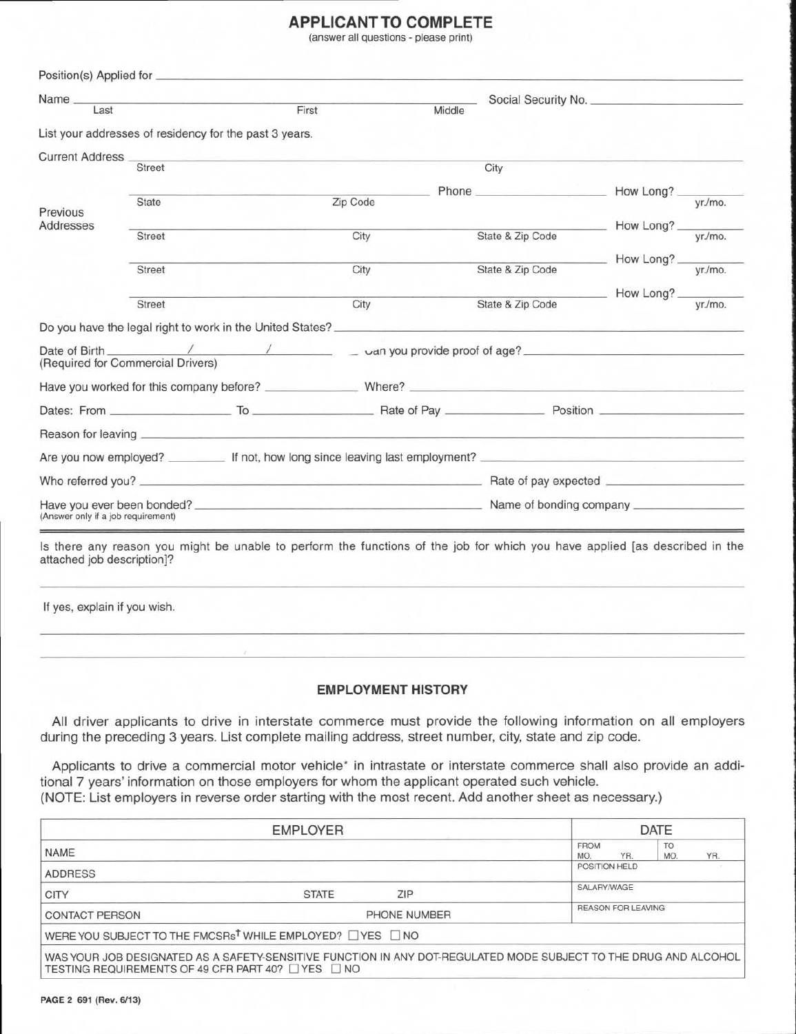## **APPLICANT TO COMPLETE**

(answer all questions - please print)

|                       |                                                        | والمتواطن والمتحدث والمستنقص والمتحدث              |          |        | Social Security No. |           |         |
|-----------------------|--------------------------------------------------------|----------------------------------------------------|----------|--------|---------------------|-----------|---------|
| Last                  |                                                        | First                                              |          | Middle |                     |           |         |
|                       | List your addresses of residency for the past 3 years. |                                                    |          |        |                     |           |         |
| Current Address __    |                                                        | <u> 1989 - Francis Alemania, personal especial</u> |          |        |                     |           |         |
|                       | <b>Street</b>                                          |                                                    |          |        | City                |           |         |
|                       | State                                                  |                                                    | Zip Code |        | Phone <b>Phone</b>  | How Long? | yr./mo. |
| Previous<br>Addresses |                                                        |                                                    |          |        |                     | How Long? |         |
|                       | <b>Street</b>                                          |                                                    | City     |        | State & Zip Code    |           | vr./mo. |
|                       |                                                        |                                                    |          |        |                     | How Long? |         |
|                       | Street                                                 |                                                    | City     |        | State & Zip Code    |           | yr./mo. |
|                       |                                                        |                                                    |          |        |                     |           |         |
|                       |                                                        |                                                    |          |        |                     | How Long? |         |
|                       | Street                                                 |                                                    | City     |        | State & Zip Code    |           | yr./mo. |
|                       |                                                        |                                                    |          |        |                     |           |         |
|                       | (Required for Commercial Drivers)                      |                                                    |          |        |                     |           |         |
|                       |                                                        |                                                    |          |        |                     |           |         |
|                       |                                                        |                                                    |          |        |                     |           |         |
|                       |                                                        |                                                    |          |        |                     |           |         |
|                       |                                                        |                                                    |          |        |                     |           |         |
|                       |                                                        |                                                    |          |        |                     |           |         |

If yes, explain if you wish.

#### **EMPLOYMENT HISTORY**

All driver applicants to drive in interstate commerce must provide the following information on all employers during the preceding 3 years. List complete mailing address, street number, city, state and zip code.

Applicants to drive a commercial motor vehicle\* in intrastate or interstate commerce shall also provide an additional 7 years' information on those employers for whom the applicant operated such vehicle. (NOTE: List employers in reverse order starting with the most recent. Add another sheet as necessary.)

|                                                | DATE                                                                                                             |                           |  |  |
|------------------------------------------------|------------------------------------------------------------------------------------------------------------------|---------------------------|--|--|
| <b>NAME</b>                                    | <b>FROM</b><br>YR.<br>MO.                                                                                        | <b>TO</b><br>YR.<br>MO    |  |  |
| ADDRESS                                        |                                                                                                                  | POSITION HELD             |  |  |
| <b>CITY</b>                                    | ZIP<br><b>STATE</b>                                                                                              | SALARY/WAGE               |  |  |
| <b>CONTACT PERSON</b>                          | PHONE NUMBER                                                                                                     | <b>REASON FOR LEAVING</b> |  |  |
|                                                | WERE YOU SUBJECT TO THE FMCSRs <sup>†</sup> WHILE EMPLOYED? □ YES □ NO                                           |                           |  |  |
| TESTING REQUIREMENTS OF 49 CFR PART 40? YES NO | WAS YOUR JOB DESIGNATED AS A SAFETY-SENSITIVE FUNCTION IN ANY DOT-REGULATED MODE SUBJECT TO THE DRUG AND ALCOHOL |                           |  |  |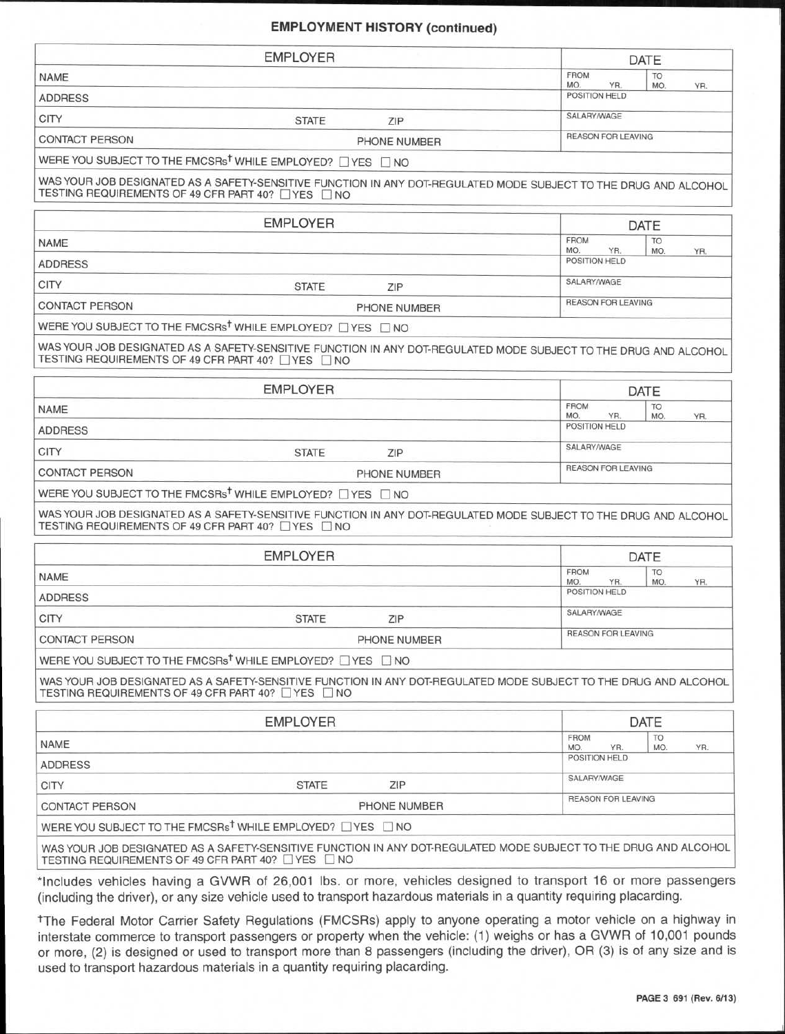## **EMPLOYMENT HISTORY (continued)**

|                                                    | <b>EMPLOYER</b>                                                                                                                                                                                                                        | <b>DATE</b>                                   |
|----------------------------------------------------|----------------------------------------------------------------------------------------------------------------------------------------------------------------------------------------------------------------------------------------|-----------------------------------------------|
| <b>NAME</b>                                        |                                                                                                                                                                                                                                        | <b>FROM</b><br>TO                             |
| <b>ADDRESS</b>                                     |                                                                                                                                                                                                                                        | MO.<br>YR.<br>MO.<br>YR.<br>POSITION HELD     |
| <b>CITY</b>                                        | <b>STATE</b><br>ZIP                                                                                                                                                                                                                    | SALARY/WAGE                                   |
| <b>CONTACT PERSON</b>                              | PHONE NUMBER                                                                                                                                                                                                                           | <b>REASON FOR LEAVING</b>                     |
|                                                    | WERE YOU SUBJECT TO THE FMCSRs <sup>†</sup> WHILE EMPLOYED? UYES UNO                                                                                                                                                                   |                                               |
| TESTING REQUIREMENTS OF 49 CFR PART 40? □ YES □ NO | WAS YOUR JOB DESIGNATED AS A SAFETY-SENSITIVE FUNCTION IN ANY DOT-REGULATED MODE SUBJECT TO THE DRUG AND ALCOHOL                                                                                                                       |                                               |
|                                                    | <b>EMPLOYER</b>                                                                                                                                                                                                                        | <b>DATE</b>                                   |
| <b>NAME</b>                                        |                                                                                                                                                                                                                                        | <b>FROM</b><br>TO<br>MO.<br>YR.<br>MO.<br>YR. |
| <b>ADDRESS</b>                                     |                                                                                                                                                                                                                                        | POSITION HELD                                 |
| <b>CITY</b>                                        | <b>STATE</b><br>ZIP                                                                                                                                                                                                                    | SALARY/WAGE                                   |
| <b>CONTACT PERSON</b>                              | PHONE NUMBER                                                                                                                                                                                                                           | <b>REASON FOR LEAVING</b>                     |
|                                                    | WERE YOU SUBJECT TO THE FMCSRs <sup>†</sup> WHILE EMPLOYED? UYES NO                                                                                                                                                                    |                                               |
| TESTING REQUIREMENTS OF 49 CFR PART 40? □ YES □ NO | WAS YOUR JOB DESIGNATED AS A SAFETY-SENSITIVE FUNCTION IN ANY DOT-REGULATED MODE SUBJECT TO THE DRUG AND ALCOHOL                                                                                                                       |                                               |
|                                                    | <b>EMPLOYER</b>                                                                                                                                                                                                                        | <b>DATE</b>                                   |
| <b>NAME</b>                                        |                                                                                                                                                                                                                                        | <b>FROM</b><br>TO<br>MO.<br>YR.<br>MO.<br>YR. |
| <b>ADDRESS</b>                                     |                                                                                                                                                                                                                                        | POSITION HELD                                 |
| <b>CITY</b>                                        | <b>STATE</b><br>ZIP                                                                                                                                                                                                                    | SALARY/WAGE                                   |
| <b>CONTACT PERSON</b>                              | PHONE NUMBER                                                                                                                                                                                                                           | REASON FOR LEAVING                            |
|                                                    | WERE YOU SUBJECT TO THE FMCSRs <sup>t</sup> WHILE EMPLOYED? IT YES IT NO                                                                                                                                                               |                                               |
| TESTING REQUIREMENTS OF 49 CFR PART 40? □ YES □ NO | WAS YOUR JOB DESIGNATED AS A SAFETY-SENSITIVE FUNCTION IN ANY DOT-REGULATED MODE SUBJECT TO THE DRUG AND ALCOHOL                                                                                                                       |                                               |
|                                                    | <b>EMPLOYER</b>                                                                                                                                                                                                                        | <b>DATE</b>                                   |
| <b>NAME</b>                                        |                                                                                                                                                                                                                                        | <b>FROM</b><br>TO<br>MO.<br>MO.<br>YR.<br>YR. |
| <b>ADDRESS</b>                                     |                                                                                                                                                                                                                                        | POSITION HELD                                 |
| <b>CITY</b>                                        | <b>STATE</b><br>ZIP                                                                                                                                                                                                                    | SALARY/WAGE                                   |
| <b>CONTACT PERSON</b>                              | PHONE NUMBER                                                                                                                                                                                                                           | <b>REASON FOR LEAVING</b>                     |
|                                                    | WERE YOU SUBJECT TO THE FMCSRs <sup>†</sup> WHILE EMPLOYED? TYES TINO                                                                                                                                                                  |                                               |
| TESTING REQUIREMENTS OF 49 CFR PART 40? TYES NO    | WAS YOUR JOB DESIGNATED AS A SAFETY-SENSITIVE FUNCTION IN ANY DOT-REGULATED MODE SUBJECT TO THE DRUG AND ALCOHOL                                                                                                                       |                                               |
|                                                    | <b>EMPLOYER</b>                                                                                                                                                                                                                        | <b>DATE</b>                                   |
| NAME                                               |                                                                                                                                                                                                                                        | TO<br><b>FROM</b><br>MO.<br>YR.<br>MO.<br>YR. |
| <b>ADDRESS</b>                                     |                                                                                                                                                                                                                                        | POSITION HELD                                 |
| <b>CITY</b>                                        | <b>STATE</b><br>ZIP                                                                                                                                                                                                                    | SALARY/WAGE                                   |
| <b>CONTACT PERSON</b>                              | PHONE NUMBER                                                                                                                                                                                                                           | REASON FOR LEAVING                            |
|                                                    | WERE YOU SUBJECT TO THE FMCSRs <sup>†</sup> WHILE EMPLOYED? □ YES □ NO                                                                                                                                                                 |                                               |
| TESTING REQUIREMENTS OF 49 CFR PART 40? □ YES □ NO | WAS YOUR JOB DESIGNATED AS A SAFETY-SENSITIVE FUNCTION IN ANY DOT-REGULATED MODE SUBJECT TO THE DRUG AND ALCOHOL                                                                                                                       |                                               |
|                                                    | *Includes vehicles having a GVWR of 26,001 lbs. or more, vehicles designed to transport 16 or more passengers<br>(including the driver), or any size vehicle used to transport hazardous materials in a quantity requiring placarding. |                                               |

tThe Federal Motor Carrier Safety Regulations (FMCSRs) apply to anyone operating a motor vehicle on a highway in interstate commerce to transport passengers or property when the vehicle: (1) weighs or has a GVWR of 10,001 pounds or more, (2) is designed or used to transport more than 8 passengers (including the driver), OR (3) is of any size and is used to transport hazardous materials in a quantity requiring placarding.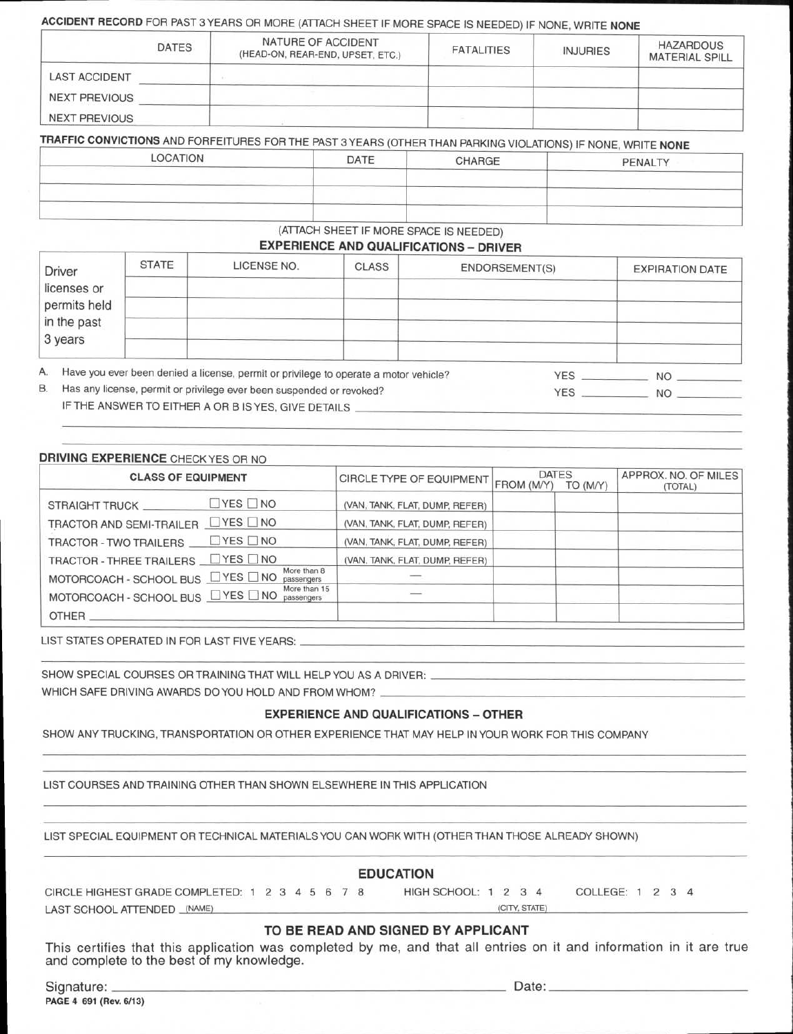## **ACCIDENT RECORD** FOR PAST 3 YEARS OR MORE (ATTACH SHEET IF MORE SPACE IS NEEDED) IF NONE, WRITE **NONE**

|                      | <b>DATES</b> | NATURE OF ACCIDENT<br>(HEAD-ON, REAR-END, UPSET, ETC.) | <b>FATALITIES</b> | <b>INJURIES</b> | <b>HAZARDOUS</b><br><b>MATERIAL SPILL</b> |
|----------------------|--------------|--------------------------------------------------------|-------------------|-----------------|-------------------------------------------|
| <b>LAST ACCIDENT</b> |              |                                                        |                   |                 |                                           |
| NEXT PREVIOUS        |              |                                                        |                   |                 |                                           |
| <b>NEXT PREVIOUS</b> |              |                                                        |                   |                 |                                           |

## **TRAFFIC CONVICTIONS** AND FORFEITURES FOR THE PAST 3 YEARS (OTHER THAN PARKING VIOLATIONS) IF NONE, WRITE **NONE**

| LOCATION | DATE | CHARGE | PENALTY |
|----------|------|--------|---------|
|          |      |        |         |
|          |      |        |         |
|          |      |        |         |
|          |      |        |         |

#### (ATTACH SHEET IF MORE SPACE IS NEEDED) **EXPERIENCE AND QUALIFICATIONS – DRIVER**

| Driver       | <b>STATE</b> | LICENSE NO.                                                                          | <b>CLASS</b> | ENDORSEMENT(S) | <b>EXPIRATION DATE</b> |
|--------------|--------------|--------------------------------------------------------------------------------------|--------------|----------------|------------------------|
| licenses or  |              |                                                                                      |              |                |                        |
| permits held |              |                                                                                      |              |                |                        |
| in the past  |              |                                                                                      |              |                |                        |
| 3 years      |              |                                                                                      |              |                |                        |
| А.           |              | Have you ever been denied a license, permit or privilege to operate a motor vehicle? |              | <b>YES</b>     | <b>NO</b>              |
| <b>B.</b>    |              | Has any license, permit or privilege ever been suspended or revoked?                 |              | <b>YES</b>     | <b>NO</b>              |

IF THE ANSWER TO EITHER A OR B IS YES, GIVE DETAILS

#### **DRIVING EXPERIENCE** CHECK YES OR NO

| <b>CLASS OF EQUIPMENT</b>                    |                            | CIRCLE TYPE OF EQUIPMENT       | <b>DATES</b><br><b>IFROM (M/Y)</b><br>TO (M/Y) |  | APPROX, NO. OF MILES<br>(TOTAL) |  |
|----------------------------------------------|----------------------------|--------------------------------|------------------------------------------------|--|---------------------------------|--|
| <b>STRAIGHT TRUCK</b>                        | $\Box$ YES $\Box$ NO       | (VAN, TANK, FLAT, DUMP, REFER) |                                                |  |                                 |  |
| TRACTOR AND SEMI-TRAILER                     | $\Box$ YES $\Box$ NO       | (VAN, TANK, FLAT, DUMP, REFER) |                                                |  |                                 |  |
| <b>TRACTOR - TWO TRAILERS</b>                | $\Box$ YES $\Box$ NO       | (VAN, TANK, FLAT, DUMP, REFER) |                                                |  |                                 |  |
| <b>TRACTOR - THREE TRAILERS</b>              | $\Box$ YES $\Box$ NO       | (VAN, TANK, FLAT, DUMP, REFER) |                                                |  |                                 |  |
| MOTORCOACH - SCHOOL BUS $\Box$ YES $\Box$ NO | More than 8<br>passengers  |                                |                                                |  |                                 |  |
| MOTORCOACH - SCHOOL BUS IYES INO             | More than 15<br>passengers |                                |                                                |  |                                 |  |
| <b>OTHER</b>                                 |                            |                                |                                                |  |                                 |  |

LIST STATES OPERATED IN FOR LAST FIVE YEARS: \_

SHOW SPECIAL COURSES OR TRAINING THAT WILL HELP YOU AS A DRIVER: WHICH SAFE DRIVING AWARDS DO YOU HOLD AND FROM WHOM?

### **EXPERIENCE AND QUALIFICATIONS – OTHER**

SHOW ANY TRUCKING, TRANSPORTATION OR OTHER EXPERIENCE THAT MAY HELP IN YOUR WORK FOR THIS COMPANY

LIST COURSES AND TRAINING OTHER THAN SHOWN ELSEWHERE IN THIS APPLICATION

LIST SPECIAL EQUIPMENT OR TECHNICAL MATERIALS YOU CAN WORK WITH (OTHER THAN THOSE ALREADY SHOWN)

|                                                                  |  |  |  | <b>EDUCATION</b>                         |  |
|------------------------------------------------------------------|--|--|--|------------------------------------------|--|
| CIRCLE HIGHEST GRADE COMPLETED: 1 2 3 4 5 6 7 8                  |  |  |  | COLLEGE: 1 2 3 4<br>HIGH SCHOOL: 1 2 3 4 |  |
| LAST SCHOOL ATTENDED (NAME)<br>and the company of the company of |  |  |  | (CITY, STATE)                            |  |

#### **TO BE READ AND SIGNED BY APPLICANT**

This certifies that this application was completed by me, and that all entries on it and information in it are true and complete to the best of my knowledge.

| Signature:             | Date: |
|------------------------|-------|
|                        |       |
| PAGE 4 691 (Rev. 6/13) |       |